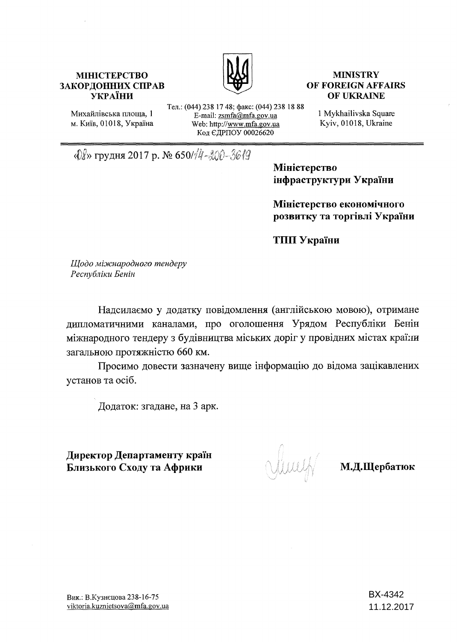# **МІНІСТЕРСТВО ЗАКОРДОННИХ СПРАВ УКРАЇНИ**



# **MINISTRY OF FOREIGN AFFAIRS OF UKRAINE**

Михайлівська площа, 1 м. Київ, 01018, Україна Тел.: (044) 238 17 48; факс: (044) 238 18 88 E-mail: zsmfa@mfa.gov.ua Web: http://www.mfa.gov.ua Код ЄДРПОУ 00026620

1 Mykhailivska Square Kyiv, 01018, Ukraine

«*Q§*» грудня 2017 р. № 650/*<sup>1</sup>4-200-3619* 

**Міністерство інфраструктури України**

**Міністерство економічного розвитку та торгівлі України**

**ТИП України**

*Щодо міжнародного тендеру Республіки Бенін*

Надсилаємо у додатку повідомлення (англійською мовою), отримане дипломатичними каналами, про оголошення Урядом Республіки Бенін міжнародного тендеру з будівництва міських доріг у провідних містах країни загальною протяжністю 660 км.

Просимо довести зазначену вище інформацію до відома зацікавлених установ та осіб.

Додаток: згадане, на 3 арк.

**Директор Департаменту країн Близького Сходу та Африки М.Д.Щербатюк**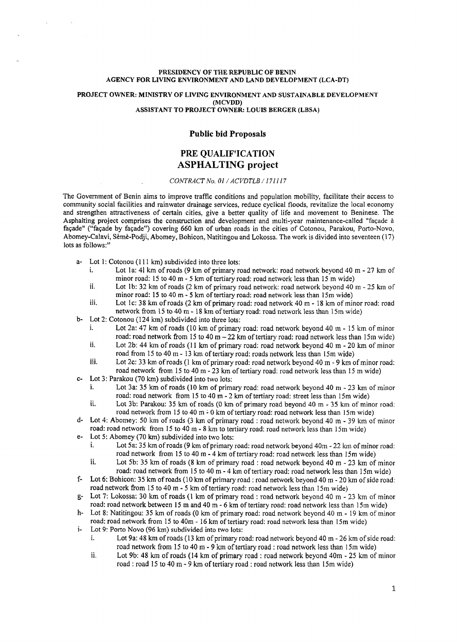#### **PRESIDENCY OF THE REPUBLIC OF BENIN AGENCY FOR LIVING ENVIRONMENT AND LAND DEVELOPMENT (LCA-DT)**

#### **PROJECT OWNER: MINISTRY OF LIVING ENVIRONMENT AND SUSTAINABLE DEVELOPMENT (MCVDD) ASSISTANT TO PROJECT OWNER: LOUIS BERGER (LBSA)**

## **Public bid Proposals**

## **PRE QUALIFICATION ASPHALTING project**

### *CONTRACT No. 01 / ACVDTLB /171117*

The Government of Benin aims to improve traffic conditions and population mobility, facilitate their access to community social facilities and rainwater drainage services, reduce cyclical floods, revitalize the local economy and strengthen attractiveness of certain cities, give a better quality of life and movement to Beninese. The Asphalting project comprises the construction and development and multi-year maintenance-called "façade à façade" ("façade by façade") covering 660 km of urban roads in the cities of Cotonou, Parakou, Porto-Novo, Abomey-Calavi, Sèmè-Podji, Abomey, Bohicon, Natitingou and Lokossa. The work is divided into seventeen (17) lots as follows:"

- a- Lot 1: Cotonou (111 km) subdivided into three lots:<br>i. Lot 1a: 41 km of roads (9 km of primary re
	- Lot 1a: 41 km of roads (9 km of primary road network: road network beyond 40 m 27 km of minor road: 15 to 40 m - 5 km of tertiary road: road network less than 15 m wide)
	- ii. Lot 1b: 32 km of roads (2 km of primary road network: road network beyond 40 m  $-$  25 km of minor road: 15 to 40 m - 5 km of tertiary road: road network less than 15m wide)
	- iii. Lot 1c: 38 km of roads  $(2 \text{ km of primary road: road network } 40 \text{ m} 18 \text{ km of minor road: road}$ network from 15 to 40 m - 18 km of tertiary road: road network less than 15m wide)
- b- Lot 2: Cotonou (124 km) subdivided into three lots:<br>i. Lot 2a: 47 km of roads (10 km of primary
	- Lot 2a: 47 km of roads (10 km of primary road: road network beyond 40 m 15 km of minor road: road network from 15 to 40 m  $-22$  km of tertiary road: road network less than 15m wide) ii. Lot 2b: 44 km of roads (11 km of primary road: road network beyond 40 m - 20 km of minor
	- road from 15 to 40 m 13 km of tertiary road: roads network less than 15m wide)
	- iii. Lot 2c: 33 km of roads (1 km of primary road: road network beyond 40 m 9 km of minor road: road network from 15 to 40 m - 23 km of tertiary road: road network less than 15 m wide)
- Lot 3: Parakou (70 km) subdivided into two lots:
	- i. Lot 3a: 35 km of roads (10 km of primary road: road network beyond 40 m  $-$  23 km of minor road: road network from 15 to 40 m - 2 km of tertiary road: street less than 15m wide)
	- ii. Lot 3b: Parakou: 35 km of roads (0 km of primary road beyond 40 m 35 km of minor road: road network from 15 to 40 m - 0 km of tertiary road: road network less than 15m wide)
- d- Lot 4: Abomey: 50 km of roads (3 km of primary road : road network beyond 40 m 39 km of minor road: road network from 15 to 40 m - 8 km to tertiary road: road network less than 15m wide)
- e- Lot 5: Abomey (70 km) subdivided into two lots:
	- i. Lot 5a: 35 km of roads (9 km of primary road: road network beyond 40m 22 km of minor road: road network from 15 to 40 m - 4 km of tertiary road: road network less than 15m wide)
	- ii. Lot 5b: 35 km of roads  $(8 \text{ km of primary road} : \text{road network beyond } 40 \text{ m} 23 \text{ km of minor})$ road: road network from 15 to 40 m - 4 km of tertiary road: road network less than 15m wide)
- f- Lot 6: Bohicon: 35 km of roads (10 km of primary road : road network beyond 40 m 20 km of side road: road network from 15 to 40 m - 5 km of tertiary road: road network less than 15m wide)
- g- Lot 7: Lokossa: 30 km of roads  $(1 \text{ km of primary road : road network beyond 40 m 23 km of minor})$ road: road network between 15 m and 40 m - 6 km of tertiary road: road network less than 15m wide)
- h- Lot 8: Natitingou: 35 km of roads (0 km of primary road: road network beyond 40 m 19 km of minor road: road network from 15 to 40m - 16 km of tertiary road: road network less than 15m wide)
- i- Lot 9: Porto Novo (96 km) subdivided into two lots:
	- i. Lot 9a: 48 km of roads (13 km of primary road: road network beyond 40 m  $-$  26 km of side road: road network from 15 to 40 m - 9 km of tertiary road : road network less than 15m wide)
	- ii. Lot 9b: 48 km of roads (14 km of primary road : road network beyond 40m 25 km of minor road : road 15 to 40 m - 9 km of tertiary road : road network less than 15m wide)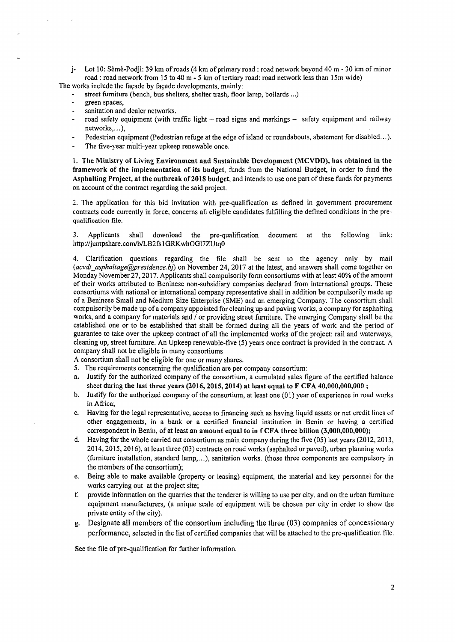j- Lot 10: Sèmè-Podji: 39 km of roads (4 km of primary road : road network beyond 40 m - 30 km of minor road : road network from 15 to 40 m - 5 km of tertiary road: road network less than 15m wide)

The works include the façade by façade developments, mainly:

- street furniture (bench, bus shelters, shelter trash, floor lamp, bollards ...)
- green spaces,
- sanitation and dealer networks.
- road safety equipment (with traffic light road signs and markings safety equipment and railway networks,...),
- Pedestrian equipment (Pedestrian refuge at the edge of island or roundabouts, abatement for disabled...).
- The five-year multi-year upkeep renewable once.

1. **The Ministry of Living Environment and Sustainable Development (M CVBD), has obtained** in the **framework of the implementation of its budget,** funds from the National Budget, in order to fund **the** Asphalting Project, at the outbreak of 2018 budget, and intends to use one part of these funds for payments on account of the contract regarding the said project.

2. The application for this bid invitation with pre-qualification as defined in government procurement contracts code currently in force, concerns all eligible candidates fulfilling the defined conditions in the pre**qualification** file.

3. Applicants shall download the pre-qualification document at the following link: <http://jumpshare.eom/b/LB2fs>1 GRKwhOG17ZUtqO

4. Clarification questions regarding the file shall be sent to the agency only by mail *[\(acvdt\\_asphaltage@ presidence.bf\)](mailto:acvdt_asphaltage@presidence.bf)* on November 24, 2017 at the latest, and answers shall come together on Monday November 27, 2017. Applicants shall compulsorily form consortiums with at least 40% of the amount of their works attributed to Beninese non-subsidiary companies declared from international groups. These consortiums with national or international company representative shall in addition be compulsorily made up of a Beninese Small and Medium Size Enterprise (SME) and an emerging Company. The consortium shall compulsorily be made up of a company appointed for cleaning up and paving works, a company for asphalting works, and a company for materials and / or providing street furniture. The emerging Company shall be the established one or to be established that shall be formed during all the years of work and the period of guarantee to take over the upkeep contract of all the implemented works of the project: rail and waterways, cleaning up, street furniture. An Upkeep renewable-five (5) years once contract is provided in the contract. A company shall not be eligible in many consortiums

A consortium shall not be eligible for one or many shares.

- 5. The requirements concerning the qualification are per company consortium:
- a. Justify for the authorized company of the consortium, a cumulated sales figure of the certified balance sheet during **the last three years (2016,2015, 2014) at least equal to F CFA 40,000,000,000** ;
- b. Justify for the authorized company of the consortium, at least one  $(01)$  year of experience in road works in Africa;
- c. Having for the legal representative, access to financing such as having liquid assets or net credit lines of other engagements, in a bank or a certified financial institution in Benin or having a certified correspondent in Benin, of at least an amount equal to in f CFA three billion (3,000,000,000);
- d. Having for the whole carried out consortium as main company during the five (05) last years (2012,2013, 2014,2015,2016), at least three (03) contracts on road works (asphalted or paved), urban planning works (furniture installation, standard lamp,...), sanitation works. (those three components are compulsory in the members of the consortium);
- e. Being able to make available (property or leasing) equipment, the material and key personnel for the works carrying out at the project site;
- f. provide information on the quarries that the tenderer is willing to use per city, and on the urban furniture equipment manufacturers, (a unique scale of equipment will be chosen per city in order to show the private entity of the city).
- g. Designate all members of the consortium including the three (03) companies of concessionary performance, selected in the list of certified companies that will be attached to the pre-qualification file.

See the file of pre-qualification for further information.